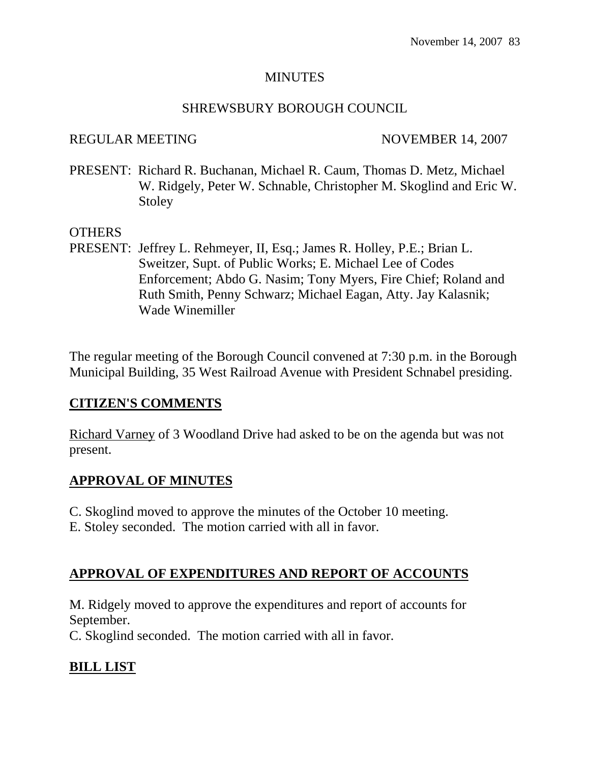#### MINUTES

### SHREWSBURY BOROUGH COUNCIL

### REGULAR MEETING NOVEMBER 14, 2007

PRESENT: Richard R. Buchanan, Michael R. Caum, Thomas D. Metz, Michael W. Ridgely, Peter W. Schnable, Christopher M. Skoglind and Eric W. **Stoley** 

### OTHERS

PRESENT: Jeffrey L. Rehmeyer, II, Esq.; James R. Holley, P.E.; Brian L. Sweitzer, Supt. of Public Works; E. Michael Lee of Codes Enforcement; Abdo G. Nasim; Tony Myers, Fire Chief; Roland and Ruth Smith, Penny Schwarz; Michael Eagan, Atty. Jay Kalasnik; Wade Winemiller

The regular meeting of the Borough Council convened at 7:30 p.m. in the Borough Municipal Building, 35 West Railroad Avenue with President Schnabel presiding.

# **CITIZEN'S COMMENTS**

Richard Varney of 3 Woodland Drive had asked to be on the agenda but was not present.

# **APPROVAL OF MINUTES**

- C. Skoglind moved to approve the minutes of the October 10 meeting.
- E. Stoley seconded. The motion carried with all in favor.

# **APPROVAL OF EXPENDITURES AND REPORT OF ACCOUNTS**

M. Ridgely moved to approve the expenditures and report of accounts for September.

C. Skoglind seconded. The motion carried with all in favor.

# **BILL LIST**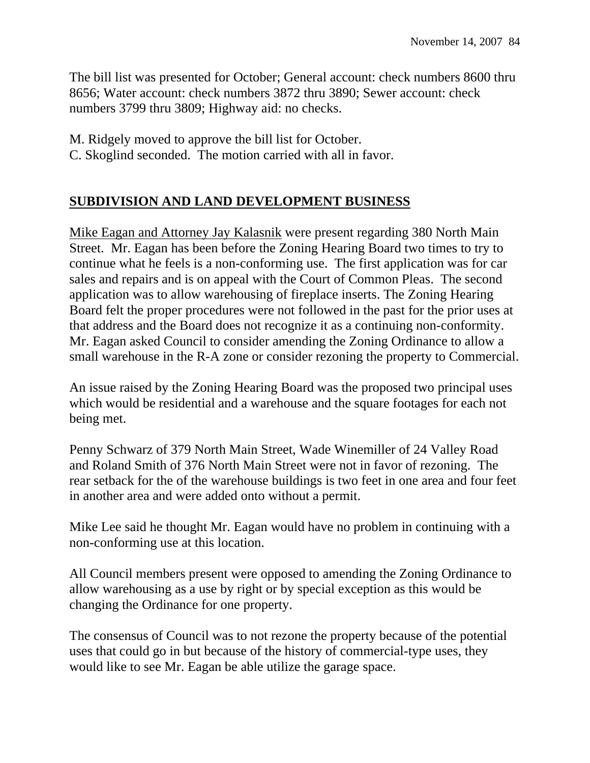The bill list was presented for October; General account: check numbers 8600 thru 8656; Water account: check numbers 3872 thru 3890; Sewer account: check numbers 3799 thru 3809; Highway aid: no checks.

M. Ridgely moved to approve the bill list for October.

C. Skoglind seconded. The motion carried with all in favor.

# **SUBDIVISION AND LAND DEVELOPMENT BUSINESS**

Mike Eagan and Attorney Jay Kalasnik were present regarding 380 North Main Street. Mr. Eagan has been before the Zoning Hearing Board two times to try to continue what he feels is a non-conforming use. The first application was for car sales and repairs and is on appeal with the Court of Common Pleas. The second application was to allow warehousing of fireplace inserts. The Zoning Hearing Board felt the proper procedures were not followed in the past for the prior uses at that address and the Board does not recognize it as a continuing non-conformity. Mr. Eagan asked Council to consider amending the Zoning Ordinance to allow a small warehouse in the R-A zone or consider rezoning the property to Commercial.

An issue raised by the Zoning Hearing Board was the proposed two principal uses which would be residential and a warehouse and the square footages for each not being met.

Penny Schwarz of 379 North Main Street, Wade Winemiller of 24 Valley Road and Roland Smith of 376 North Main Street were not in favor of rezoning. The rear setback for the of the warehouse buildings is two feet in one area and four feet in another area and were added onto without a permit.

Mike Lee said he thought Mr. Eagan would have no problem in continuing with a non-conforming use at this location.

All Council members present were opposed to amending the Zoning Ordinance to allow warehousing as a use by right or by special exception as this would be changing the Ordinance for one property.

The consensus of Council was to not rezone the property because of the potential uses that could go in but because of the history of commercial-type uses, they would like to see Mr. Eagan be able utilize the garage space.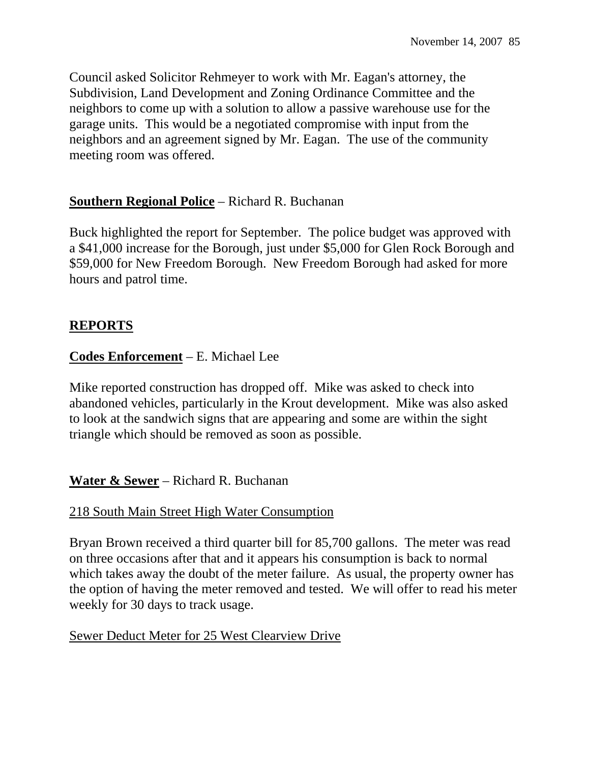Council asked Solicitor Rehmeyer to work with Mr. Eagan's attorney, the Subdivision, Land Development and Zoning Ordinance Committee and the neighbors to come up with a solution to allow a passive warehouse use for the garage units. This would be a negotiated compromise with input from the neighbors and an agreement signed by Mr. Eagan. The use of the community meeting room was offered.

### **Southern Regional Police** – Richard R. Buchanan

Buck highlighted the report for September. The police budget was approved with a \$41,000 increase for the Borough, just under \$5,000 for Glen Rock Borough and \$59,000 for New Freedom Borough. New Freedom Borough had asked for more hours and patrol time.

# **REPORTS**

### **Codes Enforcement** – E. Michael Lee

Mike reported construction has dropped off. Mike was asked to check into abandoned vehicles, particularly in the Krout development. Mike was also asked to look at the sandwich signs that are appearing and some are within the sight triangle which should be removed as soon as possible.

#### **Water & Sewer** – Richard R. Buchanan

#### 218 South Main Street High Water Consumption

Bryan Brown received a third quarter bill for 85,700 gallons. The meter was read on three occasions after that and it appears his consumption is back to normal which takes away the doubt of the meter failure. As usual, the property owner has the option of having the meter removed and tested. We will offer to read his meter weekly for 30 days to track usage.

#### Sewer Deduct Meter for 25 West Clearview Drive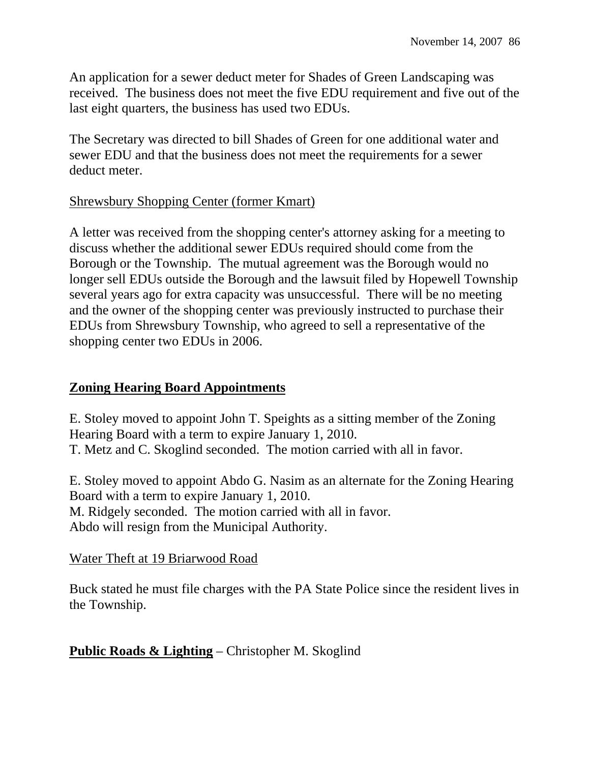An application for a sewer deduct meter for Shades of Green Landscaping was received. The business does not meet the five EDU requirement and five out of the last eight quarters, the business has used two EDUs.

The Secretary was directed to bill Shades of Green for one additional water and sewer EDU and that the business does not meet the requirements for a sewer deduct meter.

### Shrewsbury Shopping Center (former Kmart)

A letter was received from the shopping center's attorney asking for a meeting to discuss whether the additional sewer EDUs required should come from the Borough or the Township. The mutual agreement was the Borough would no longer sell EDUs outside the Borough and the lawsuit filed by Hopewell Township several years ago for extra capacity was unsuccessful. There will be no meeting and the owner of the shopping center was previously instructed to purchase their EDUs from Shrewsbury Township, who agreed to sell a representative of the shopping center two EDUs in 2006.

# **Zoning Hearing Board Appointments**

E. Stoley moved to appoint John T. Speights as a sitting member of the Zoning Hearing Board with a term to expire January 1, 2010. T. Metz and C. Skoglind seconded. The motion carried with all in favor.

E. Stoley moved to appoint Abdo G. Nasim as an alternate for the Zoning Hearing Board with a term to expire January 1, 2010. M. Ridgely seconded. The motion carried with all in favor. Abdo will resign from the Municipal Authority.

# Water Theft at 19 Briarwood Road

Buck stated he must file charges with the PA State Police since the resident lives in the Township.

# **Public Roads & Lighting** – Christopher M. Skoglind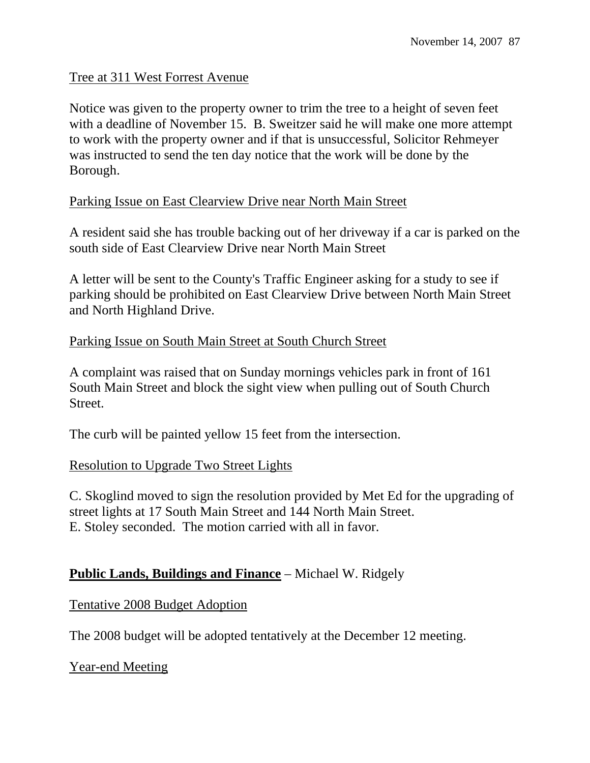#### Tree at 311 West Forrest Avenue

Notice was given to the property owner to trim the tree to a height of seven feet with a deadline of November 15. B. Sweitzer said he will make one more attempt to work with the property owner and if that is unsuccessful, Solicitor Rehmeyer was instructed to send the ten day notice that the work will be done by the Borough.

#### Parking Issue on East Clearview Drive near North Main Street

A resident said she has trouble backing out of her driveway if a car is parked on the south side of East Clearview Drive near North Main Street

A letter will be sent to the County's Traffic Engineer asking for a study to see if parking should be prohibited on East Clearview Drive between North Main Street and North Highland Drive.

### Parking Issue on South Main Street at South Church Street

A complaint was raised that on Sunday mornings vehicles park in front of 161 South Main Street and block the sight view when pulling out of South Church Street.

The curb will be painted yellow 15 feet from the intersection.

#### Resolution to Upgrade Two Street Lights

C. Skoglind moved to sign the resolution provided by Met Ed for the upgrading of street lights at 17 South Main Street and 144 North Main Street. E. Stoley seconded. The motion carried with all in favor.

# **Public Lands, Buildings and Finance** – Michael W. Ridgely

#### Tentative 2008 Budget Adoption

The 2008 budget will be adopted tentatively at the December 12 meeting.

#### Year-end Meeting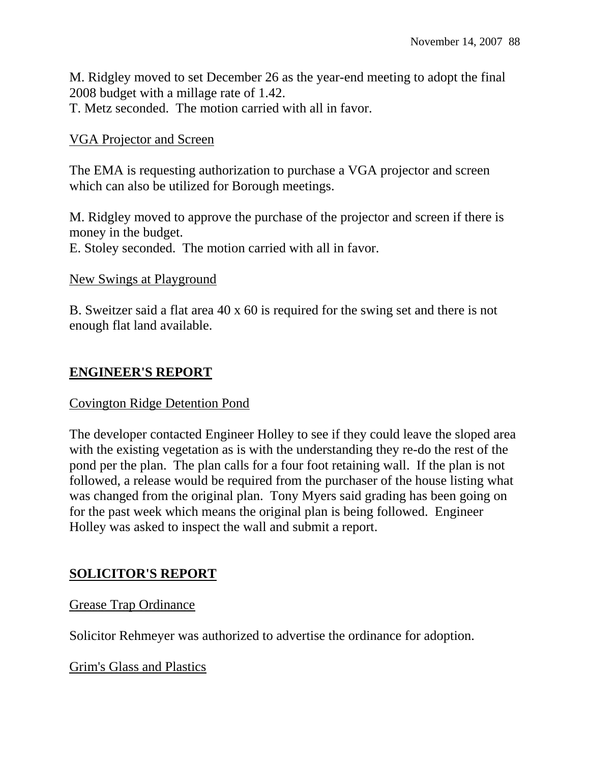M. Ridgley moved to set December 26 as the year-end meeting to adopt the final 2008 budget with a millage rate of 1.42.

T. Metz seconded. The motion carried with all in favor.

# VGA Projector and Screen

The EMA is requesting authorization to purchase a VGA projector and screen which can also be utilized for Borough meetings.

M. Ridgley moved to approve the purchase of the projector and screen if there is money in the budget. E. Stoley seconded. The motion carried with all in favor.

New Swings at Playground

B. Sweitzer said a flat area 40 x 60 is required for the swing set and there is not enough flat land available.

# **ENGINEER'S REPORT**

#### Covington Ridge Detention Pond

The developer contacted Engineer Holley to see if they could leave the sloped area with the existing vegetation as is with the understanding they re-do the rest of the pond per the plan. The plan calls for a four foot retaining wall. If the plan is not followed, a release would be required from the purchaser of the house listing what was changed from the original plan. Tony Myers said grading has been going on for the past week which means the original plan is being followed. Engineer Holley was asked to inspect the wall and submit a report.

# **SOLICITOR'S REPORT**

#### Grease Trap Ordinance

Solicitor Rehmeyer was authorized to advertise the ordinance for adoption.

Grim's Glass and Plastics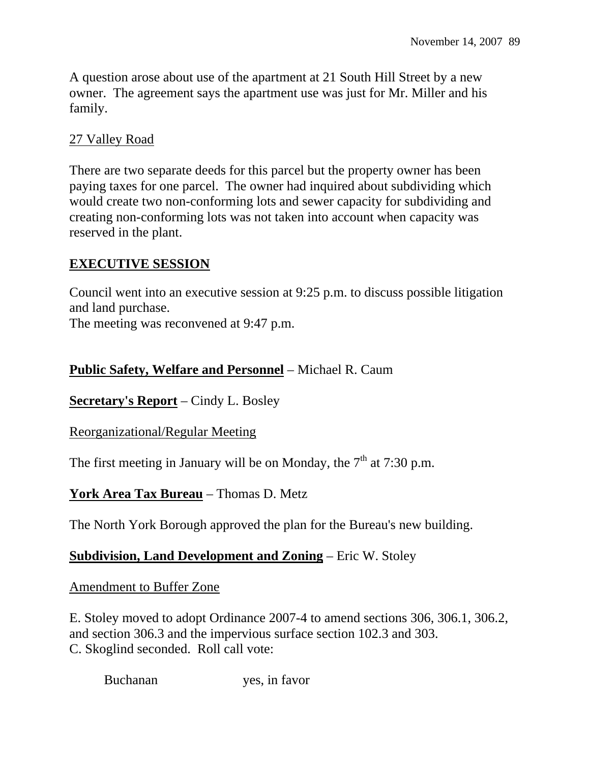A question arose about use of the apartment at 21 South Hill Street by a new owner. The agreement says the apartment use was just for Mr. Miller and his family.

# 27 Valley Road

There are two separate deeds for this parcel but the property owner has been paying taxes for one parcel. The owner had inquired about subdividing which would create two non-conforming lots and sewer capacity for subdividing and creating non-conforming lots was not taken into account when capacity was reserved in the plant.

# **EXECUTIVE SESSION**

Council went into an executive session at 9:25 p.m. to discuss possible litigation and land purchase.

The meeting was reconvened at 9:47 p.m.

# **Public Safety, Welfare and Personnel** – Michael R. Caum

**Secretary's Report** – Cindy L. Bosley

#### Reorganizational/Regular Meeting

The first meeting in January will be on Monday, the  $7<sup>th</sup>$  at 7:30 p.m.

# **York Area Tax Bureau** – Thomas D. Metz

The North York Borough approved the plan for the Bureau's new building.

# **Subdivision, Land Development and Zoning** – Eric W. Stoley

#### Amendment to Buffer Zone

E. Stoley moved to adopt Ordinance 2007-4 to amend sections 306, 306.1, 306.2, and section 306.3 and the impervious surface section 102.3 and 303. C. Skoglind seconded. Roll call vote:

Buchanan yes, in favor